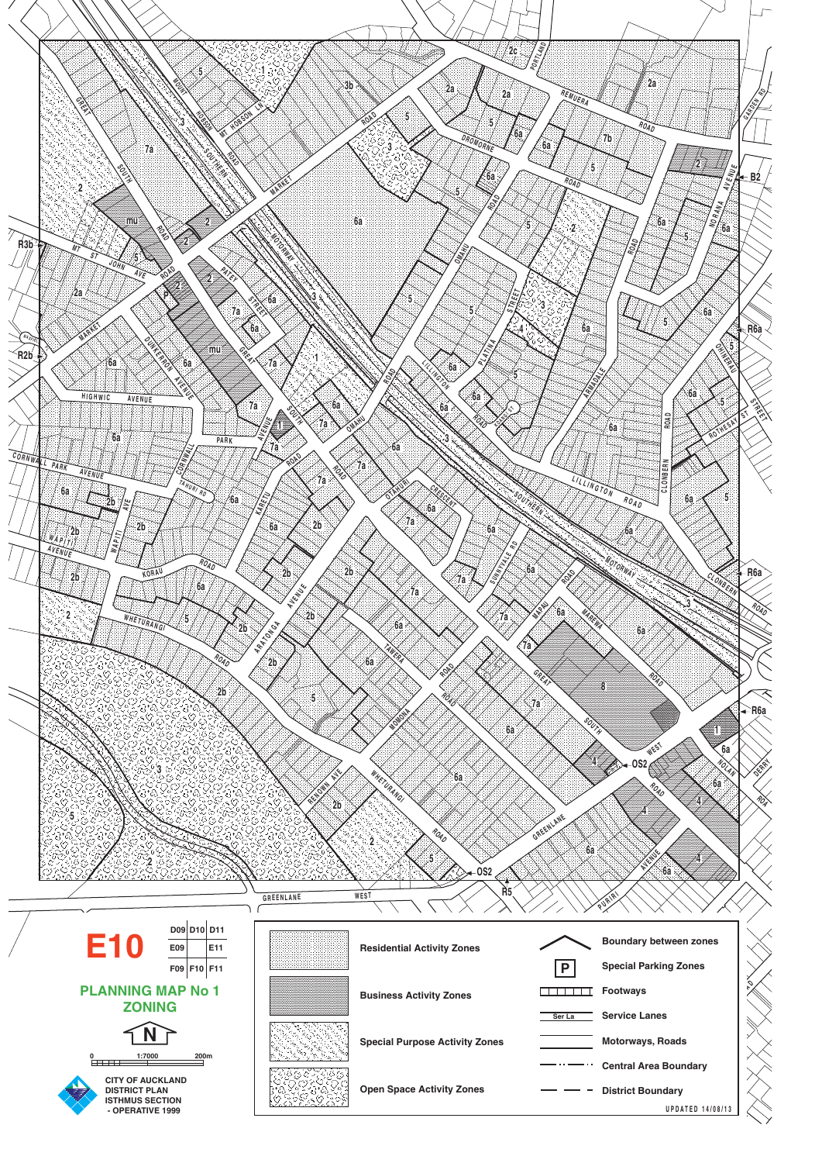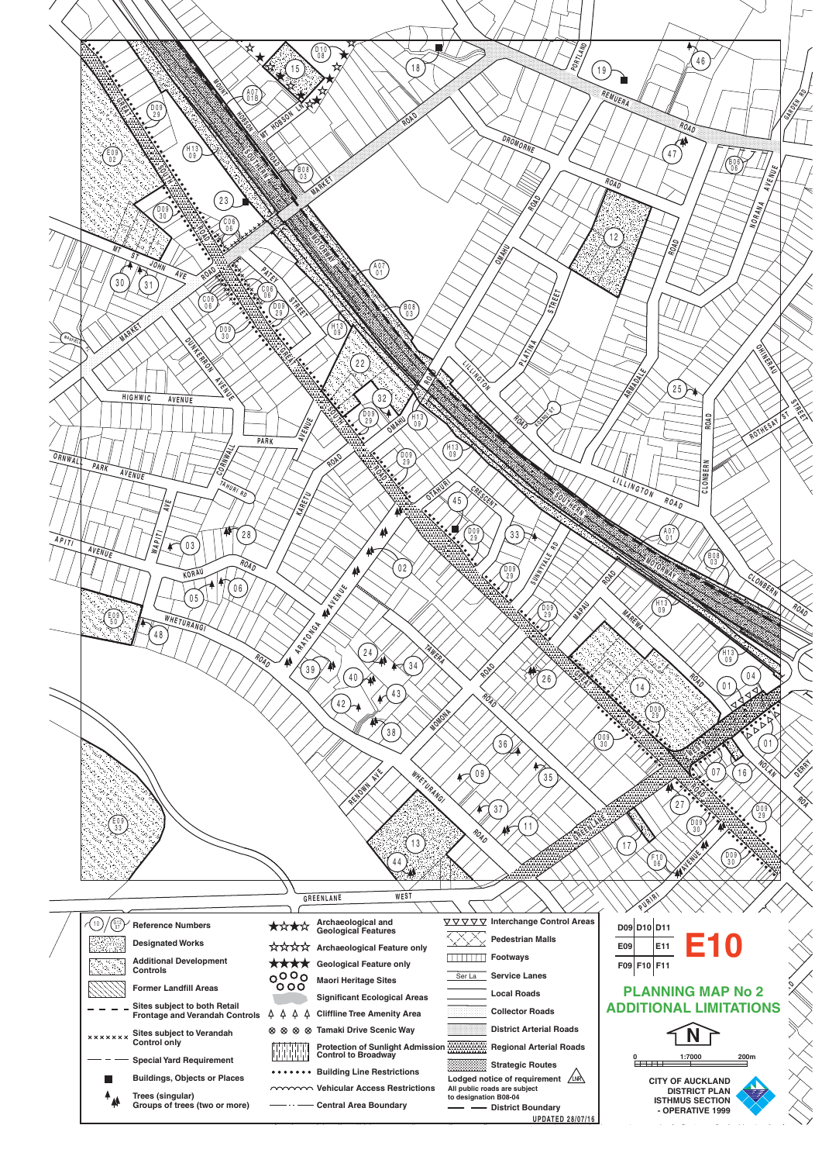